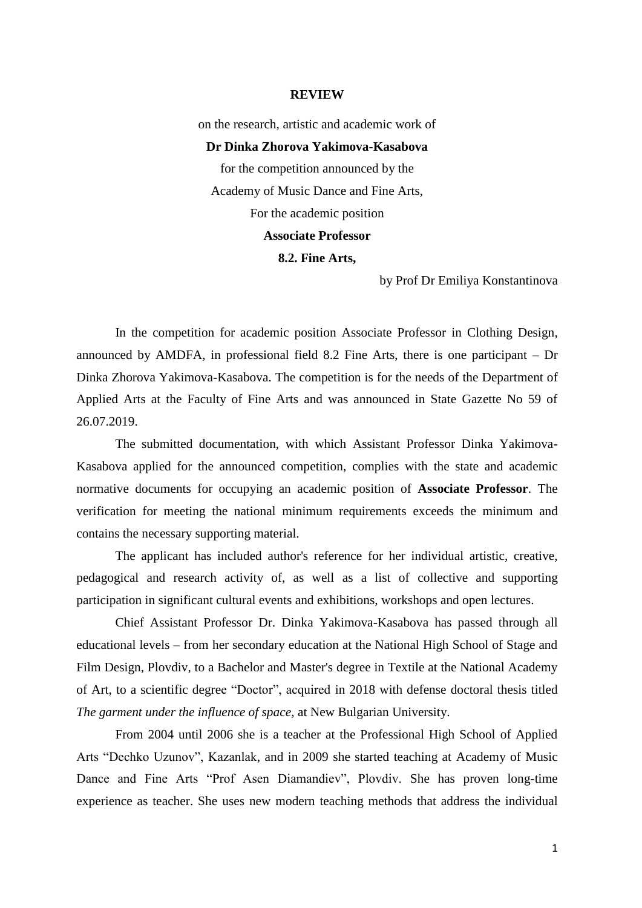## **REVIEW**

on the research, artistic and academic work of

## **Dr Dinka Zhorova Yakimova-Kasabova**

for the competition announced by the Academy of Music Dance and Fine Arts, For the academic position **Associate Professor** 

**8.2. Fine Arts,**

by Prof Dr Emiliya Konstantinova

In the competition for academic position Associate Professor in Clothing Design, announced by AMDFA, in professional field 8.2 Fine Arts, there is one participant – Dr Dinka Zhorova Yakimova-Kasabova. The competition is for the needs of the Department of Applied Arts at the Faculty of Fine Arts and was announced in State Gazette No 59 of 26.07.2019.

The submitted documentation, with which Assistant Professor Dinka Yakimova-Kasabova applied for the announced competition, complies with the state and academic normative documents for occupying an academic position of **Associate Professor**. The verification for meeting the national minimum requirements exceeds the minimum and contains the necessary supporting material.

The applicant has included author's reference for her individual artistic, creative, pedagogical and research activity of, as well as a list of collective and supporting participation in significant cultural events and exhibitions, workshops and open lectures.

Chief Assistant Professor Dr. Dinka Yakimova-Kasabova has passed through all educational levels – from her secondary education at the National High School of Stage and Film Design, Plovdiv, to a Bachelor and Master's degree in Textile at the National Academy of Art, to a scientific degree "Doctor", acquired in 2018 with defense doctoral thesis titled *The garment under the influence of space*, at New Bulgarian University.

From 2004 until 2006 she is a teacher at the Professional High School of Applied Arts "Dechko Uzunov", Kazanlak, and in 2009 she started teaching at Academy of Music Dance and Fine Arts "Prof Asen Diamandiev", Plovdiv. She has proven long-time experience as teacher. She uses new modern teaching methods that address the individual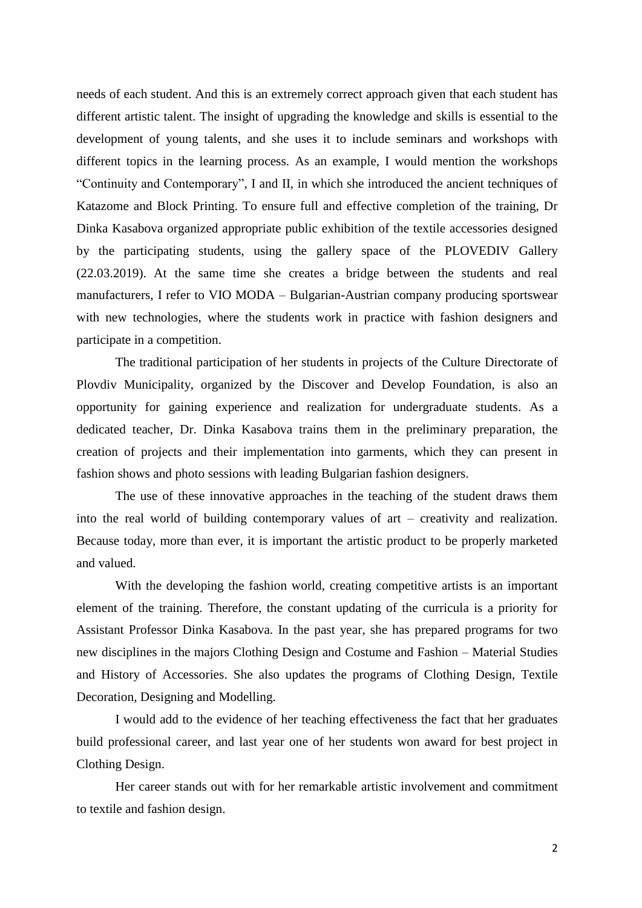needs of each student. And this is an extremely correct approach given that each student has different artistic talent. The insight of upgrading the knowledge and skills is essential to the development of young talents, and she uses it to include seminars and workshops with different topics in the learning process. As an example, I would mention the workshops "Continuity and Contemporary", I and II, in which she introduced the ancient techniques of Katazome and Block Printing. To ensure full and effective completion of the training, Dr Dinka Kasabova organized appropriate public exhibition of the textile accessories designed by the participating students, using the gallery space of the PLOVEDIV Gallery (22.03.2019). At the same time she creates a bridge between the students and real manufacturers, I refer to VIO MODA – Bulgarian-Austrian company producing sportswear with new technologies, where the students work in practice with fashion designers and participate in a competition.

The traditional participation of her students in projects of the Culture Directorate of Plovdiv Municipality, organized by the Discover and Develop Foundation, is also an opportunity for gaining experience and realization for undergraduate students. As a dedicated teacher, Dr. Dinka Kasabova trains them in the preliminary preparation, the creation of projects and their implementation into garments, which they can present in fashion shows and photo sessions with leading Bulgarian fashion designers.

The use of these innovative approaches in the teaching of the student draws them into the real world of building contemporary values of art – creativity and realization. Because today, more than ever, it is important the artistic product to be properly marketed and valued.

With the developing the fashion world, creating competitive artists is an important element of the training. Therefore, the constant updating of the curricula is a priority for Assistant Professor Dinka Kasabova. In the past year, she has prepared programs for two new disciplines in the majors Clothing Design and Costume and Fashion – Material Studies and History of Accessories. She also updates the programs of Clothing Design, Textile Decoration, Designing and Modelling.

I would add to the evidence of her teaching effectiveness the fact that her graduates build professional career, and last year one of her students won award for best project in Clothing Design.

Her career stands out with for her remarkable artistic involvement and commitment to textile and fashion design.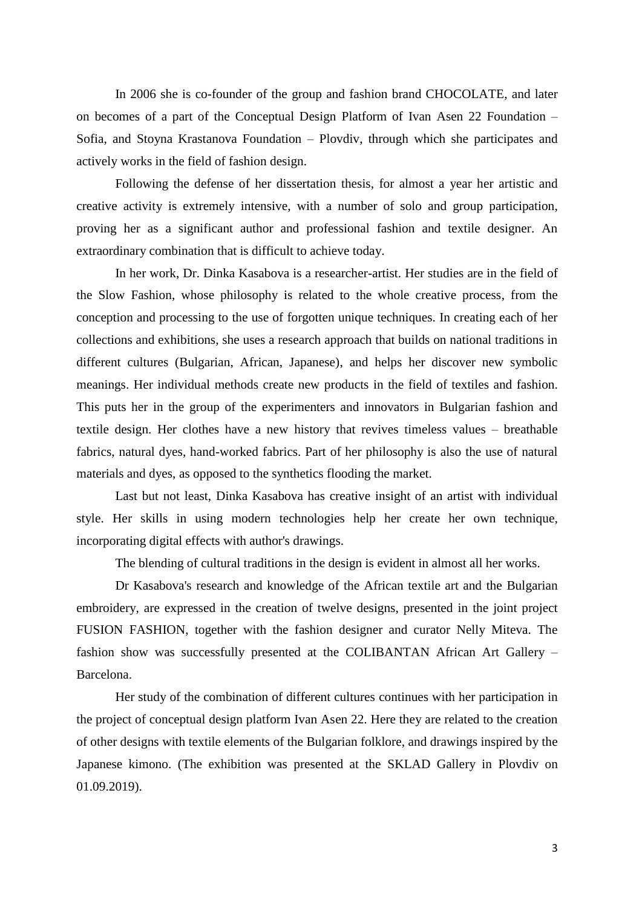In 2006 she is co-founder of the group and fashion brand CHOCOLATE, and later on becomes of a part of the Conceptual Design Platform of Ivan Asen 22 Foundation – Sofia, and Stoyna Krastanova Foundation – Plovdiv, through which she participates and actively works in the field of fashion design.

Following the defense of her dissertation thesis, for almost a year her artistic and creative activity is extremely intensive, with a number of solo and group participation, proving her as a significant author and professional fashion and textile designer. An extraordinary combination that is difficult to achieve today.

In her work, Dr. Dinka Kasabova is a researcher-artist. Her studies are in the field of the Slow Fashion, whose philosophy is related to the whole creative process, from the conception and processing to the use of forgotten unique techniques. In creating each of her collections and exhibitions, she uses a research approach that builds on national traditions in different cultures (Bulgarian, African, Japanese), and helps her discover new symbolic meanings. Her individual methods create new products in the field of textiles and fashion. This puts her in the group of the experimenters and innovators in Bulgarian fashion and textile design. Her clothes have a new history that revives timeless values – breathable fabrics, natural dyes, hand-worked fabrics. Part of her philosophy is also the use of natural materials and dyes, as opposed to the synthetics flooding the market.

Last but not least, Dinka Kasabova has creative insight of an artist with individual style. Her skills in using modern technologies help her create her own technique, incorporating digital effects with author's drawings.

The blending of cultural traditions in the design is evident in almost all her works.

Dr Kasabova's research and knowledge of the African textile art and the Bulgarian embroidery, are expressed in the creation of twelve designs, presented in the joint project FUSION FASHION, together with the fashion designer and curator Nelly Miteva. The fashion show was successfully presented at the COLIBANTAN African Art Gallery – Barcelona.

Her study of the combination of different cultures continues with her participation in the project of conceptual design platform Ivan Asen 22. Here they are related to the creation of other designs with textile elements of the Bulgarian folklore, and drawings inspired by the Japanese kimono. (The exhibition was presented at the SKLAD Gallery in Plovdiv on 01.09.2019).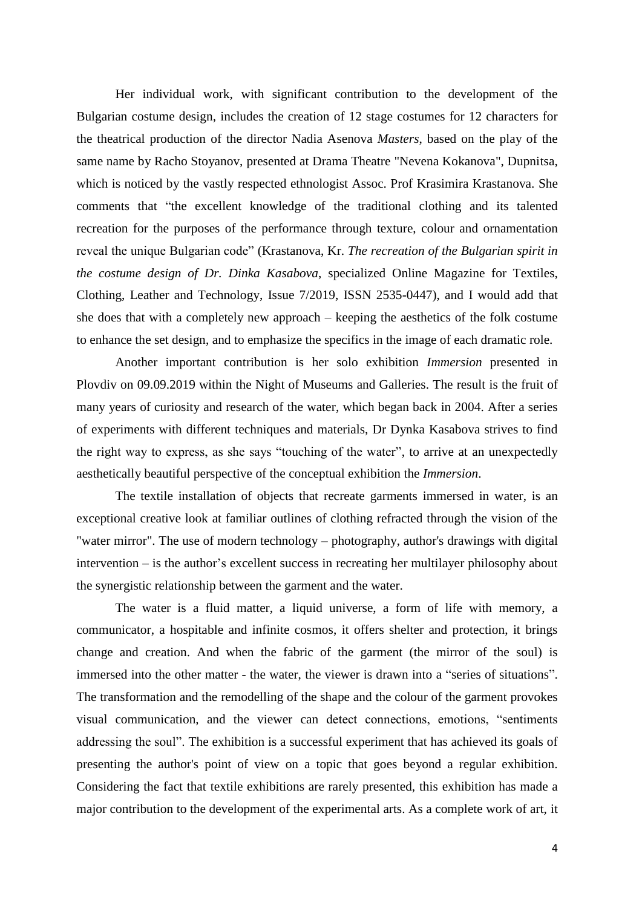Her individual work, with significant contribution to the development of the Bulgarian costume design, includes the creation of 12 stage costumes for 12 characters for the theatrical production of the director Nadia Asenova *Masters*, based on the play of the same name by Racho Stoyanov, presented at Drama Theatre "Nevena Kokanova", Dupnitsa, which is noticed by the vastly respected ethnologist Assoc. Prof Krasimira Krastanova. She comments that "the excellent knowledge of the traditional clothing and its talented recreation for the purposes of the performance through texture, colour and ornamentation reveal the unique Bulgarian code" (Krastanova, Kr. *The recreation of the Bulgarian spirit in the costume design of Dr. Dinka Kasabova*, specialized Online Magazine for Textiles, Clothing, Leather and Technology, Issue 7/2019, ISSN 2535-0447), and I would add that she does that with a completely new approach – keeping the aesthetics of the folk costume to enhance the set design, and to emphasize the specifics in the image of each dramatic role.

Another important contribution is her solo exhibition *Immersion* presented in Plovdiv on 09.09.2019 within the Night of Museums and Galleries. The result is the fruit of many years of curiosity and research of the water, which began back in 2004. After a series of experiments with different techniques and materials, Dr Dynka Kasabova strives to find the right way to express, as she says "touching of the water", to arrive at an unexpectedly aesthetically beautiful perspective of the conceptual exhibition the *Immersion*.

The textile installation of objects that recreate garments immersed in water, is an exceptional creative look at familiar outlines of clothing refracted through the vision of the "water mirror". The use of modern technology – photography, author's drawings with digital intervention – is the author's excellent success in recreating her multilayer philosophy about the synergistic relationship between the garment and the water.

The water is a fluid matter, a liquid universe, a form of life with memory, a communicator, a hospitable and infinite cosmos, it offers shelter and protection, it brings change and creation. And when the fabric of the garment (the mirror of the soul) is immersed into the other matter - the water, the viewer is drawn into a "series of situations". The transformation and the remodelling of the shape and the colour of the garment provokes visual communication, and the viewer can detect connections, emotions, "sentiments addressing the soul". The exhibition is a successful experiment that has achieved its goals of presenting the author's point of view on a topic that goes beyond a regular exhibition. Considering the fact that textile exhibitions are rarely presented, this exhibition has made a major contribution to the development of the experimental arts. As a complete work of art, it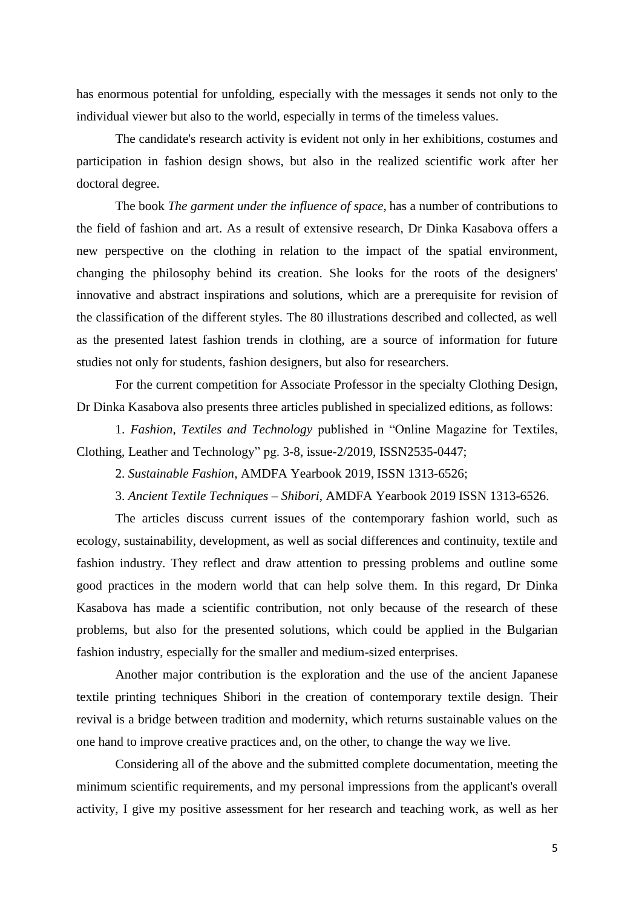has enormous potential for unfolding, especially with the messages it sends not only to the individual viewer but also to the world, especially in terms of the timeless values.

The candidate's research activity is evident not only in her exhibitions, costumes and participation in fashion design shows, but also in the realized scientific work after her doctoral degree.

The book *The garment under the influence of space*, has a number of contributions to the field of fashion and art. As a result of extensive research, Dr Dinka Kasabova offers a new perspective on the clothing in relation to the impact of the spatial environment, changing the philosophy behind its creation. She looks for the roots of the designers' innovative and abstract inspirations and solutions, which are a prerequisite for revision of the classification of the different styles. The 80 illustrations described and collected, as well as the presented latest fashion trends in clothing, are a source of information for future studies not only for students, fashion designers, but also for researchers.

For the current competition for Associate Professor in the specialty Clothing Design, Dr Dinka Kasabova also presents three articles published in specialized editions, as follows:

1. *Fashion, Textiles and Technology* published in "Online Magazine for Textiles, Clothing, Leather and Technology" pg. 3-8, issue-2/2019, ISSN2535-0447;

2. *Sustainable Fashion,* AMDFA Yearbook 2019, ISSN 1313-6526;

3. *Ancient Textile Techniques* – *Shibori*, AMDFA Yearbook 2019 ISSN 1313-6526.

The articles discuss current issues of the contemporary fashion world, such as ecology, sustainability, development, as well as social differences and continuity, textile and fashion industry. They reflect and draw attention to pressing problems and outline some good practices in the modern world that can help solve them. In this regard, Dr Dinka Kasabova has made a scientific contribution, not only because of the research of these problems, but also for the presented solutions, which could be applied in the Bulgarian fashion industry, especially for the smaller and medium-sized enterprises.

Another major contribution is the exploration and the use of the ancient Japanese textile printing techniques Shibori in the creation of contemporary textile design. Their revival is a bridge between tradition and modernity, which returns sustainable values on the one hand to improve creative practices and, on the other, to change the way we live.

Considering all of the above and the submitted complete documentation, meeting the minimum scientific requirements, and my personal impressions from the applicant's overall activity, I give my positive assessment for her research and teaching work, as well as her